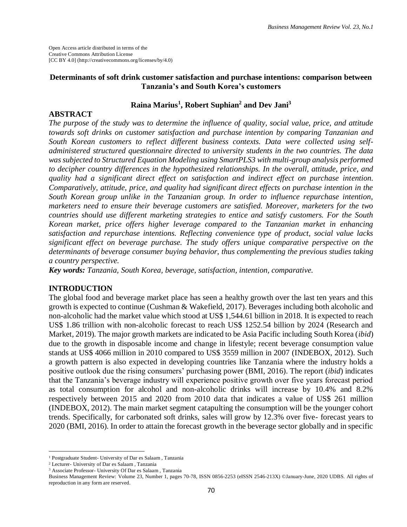Open Access article distributed in terms of the Creative Commons Attribution License [CC BY 4.0] (http://creativecommons.org/licenses/by/4.0)

### **Determinants of soft drink customer satisfaction and purchase intentions: comparison between Tanzania's and South Korea's customers**

## **Raina Marius<sup>1</sup> , Robert Suphian<sup>2</sup> and Dev Jani<sup>3</sup>**

### **ABSTRACT**

*The purpose of the study was to determine the influence of quality, social value, price, and attitude towards soft drinks on customer satisfaction and purchase intention by comparing Tanzanian and South Korean customers to reflect different business contexts. Data were collected using selfadministered structured questionnaire directed to university students in the two countries. The data was subjected to Structured Equation Modeling using SmartPLS3 with multi-group analysis performed to decipher country differences in the hypothesized relationships. In the overall, attitude, price, and quality had a significant direct effect on satisfaction and indirect effect on purchase intention. Comparatively, attitude, price, and quality had significant direct effects on purchase intention in the South Korean group unlike in the Tanzanian group. In order to influence repurchase intention, marketers need to ensure their beverage customers are satisfied. Moreover, marketers for the two countries should use different marketing strategies to entice and satisfy customers. For the South Korean market, price offers higher leverage compared to the Tanzanian market in enhancing satisfaction and repurchase intentions. Reflecting convenience type of product, social value lacks significant effect on beverage purchase. The study offers unique comparative perspective on the determinants of beverage consumer buying behavior, thus complementing the previous studies taking a country perspective.*

*Key words: Tanzania, South Korea, beverage, satisfaction, intention, comparative.*

#### **INTRODUCTION**

The global food and beverage market place has seen a healthy growth over the last ten years and this growth is expected to continue (Cushman & Wakefield, 2017). Beverages including both alcoholic and non-alcoholic had the market value which stood at US\$ 1,544.61 billion in 2018. It is expected to reach US\$ 1.86 trillion with non-alcoholic forecast to reach US\$ 1252.54 billion by 2024 (Research and Market, 2019). The major growth markets are indicated to be Asia Pacific including South Korea (*ibid*) due to the growth in disposable income and change in lifestyle; recent beverage consumption value stands at US\$ 4066 million in 2010 compared to US\$ 3559 million in 2007 (INDEBOX, 2012). Such a growth pattern is also expected in developing countries like Tanzania where the industry holds a positive outlook due the rising consumers' purchasing power (BMI, 2016). The report (*ibid*) indicates that the Tanzania's beverage industry will experience positive growth over five years forecast period as total consumption for alcohol and non-alcoholic drinks will increase by 10.4% and 8.2% respectively between 2015 and 2020 from 2010 data that indicates a value of US\$ 261 million (INDEBOX, 2012). The main market segment catapulting the consumption will be the younger cohort trends. Specifically, for carbonated soft drinks, sales will grow by 12.3% over five- forecast years to 2020 (BMI, 2016). In order to attain the forecast growth in the beverage sector globally and in specific

 $\overline{a}$ 

<sup>1</sup> Postgraduate Student- University of Dar es Salaam , Tanzania

<sup>2</sup> Lecturer- University of Dar es Salaam , Tanzania

<sup>3</sup> Associate Professor- University Of Dar es Salaam , Tanzania

Business Management Review: Volume 23, Number 1, pages 70-78, ISSN 0856-2253 (eISSN 2546-213X) ©January-June, 2020 UDBS. All rights of reproduction in any form are reserved.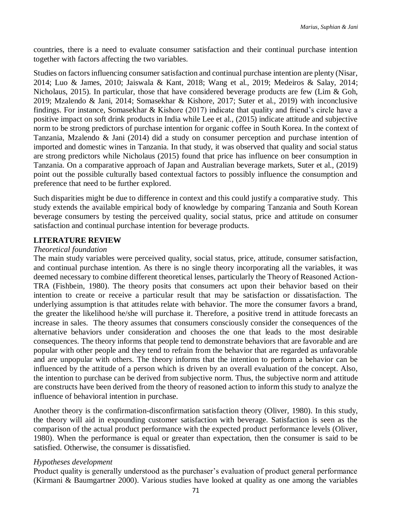countries, there is a need to evaluate consumer satisfaction and their continual purchase intention together with factors affecting the two variables.

Studies on factors influencing consumer satisfaction and continual purchase intention are plenty (Nisar, 2014; Luo & James, 2010; Jaiswala & Kant, 2018; Wang et al., 2019; Medeiros & Salay, 2014; Nicholaus, 2015). In particular, those that have considered beverage products are few (Lim & Goh, 2019; Mzalendo & Jani, 2014; Somasekhar & Kishore, 2017; Suter et al., 2019) with inconclusive findings. For instance, Somasekhar & Kishore (2017) indicate that quality and friend's circle have a positive impact on soft drink products in India while Lee et al., (2015) indicate attitude and subjective norm to be strong predictors of purchase intention for organic coffee in South Korea. In the context of Tanzania, Mzalendo & Jani (2014) did a study on consumer perception and purchase intention of imported and domestic wines in Tanzania. In that study, it was observed that quality and social status are strong predictors while Nicholaus (2015) found that price has influence on beer consumption in Tanzania. On a comparative approach of Japan and Australian beverage markets, Suter et al., (2019) point out the possible culturally based contextual factors to possibly influence the consumption and preference that need to be further explored.

Such disparities might be due to difference in context and this could justify a comparative study. This study extends the available empirical body of knowledge by comparing Tanzania and South Korean beverage consumers by testing the perceived quality, social status, price and attitude on consumer satisfaction and continual purchase intention for beverage products.

#### **LITERATURE REVIEW**

#### *Theoretical foundation*

The main study variables were perceived quality, social status, price, attitude, consumer satisfaction, and continual purchase intention. As there is no single theory incorporating all the variables, it was deemed necessary to combine different theoretical lenses, particularly the Theory of Reasoned Action-TRA (Fishbein, 1980). The theory posits that consumers act upon their behavior based on their intention to create or receive a particular result that may be satisfaction or dissatisfaction. The underlying assumption is that attitudes relate with behavior. The more the consumer favors a brand, the greater the likelihood he/she will purchase it. Therefore, a positive trend in attitude forecasts an increase in sales. The theory assumes that consumers consciously consider the consequences of the alternative behaviors under consideration and chooses the one that leads to the most desirable consequences. The theory informs that people tend to demonstrate behaviors that are favorable and are popular with other people and they tend to refrain from the behavior that are regarded as unfavorable and are unpopular with others. The theory informs that the intention to perform a behavior can be influenced by the attitude of a person which is driven by an overall evaluation of the concept. Also, the intention to purchase can be derived from subjective norm. Thus, the subjective norm and attitude are constructs have been derived from the theory of reasoned action to inform this study to analyze the influence of behavioral intention in purchase.

Another theory is the confirmation-disconfirmation satisfaction theory (Oliver, 1980). In this study, the theory will aid in expounding customer satisfaction with beverage. Satisfaction is seen as the comparison of the actual product performance with the expected product performance levels (Oliver, 1980). When the performance is equal or greater than expectation, then the consumer is said to be satisfied. Otherwise, the consumer is dissatisfied.

#### *Hypotheses development*

Product quality is generally understood as the purchaser's evaluation of product general performance (Kirmani & Baumgartner 2000). Various studies have looked at quality as one among the variables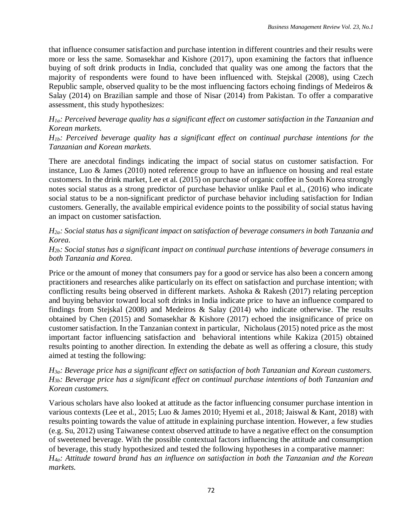that influence consumer satisfaction and purchase intention in different countries and their results were more or less the same. Somasekhar and Kishore (2017), upon examining the factors that influence buying of soft drink products in India, concluded that quality was one among the factors that the majority of respondents were found to have been influenced with. Stejskal (2008), using Czech Republic sample, observed quality to be the most influencing factors echoing findings of Medeiros & Salay (2014) on Brazilian sample and those of Nisar (2014) from Pakistan. To offer a comparative assessment, this study hypothesizes:

## *H1a: Perceived beverage quality has a significant effect on customer satisfaction in the Tanzanian and Korean markets.*

*H1b: Perceived beverage quality has a significant effect on continual purchase intentions for the Tanzanian and Korean markets.*

There are anecdotal findings indicating the impact of social status on customer satisfaction. For instance, Luo & James (2010) noted reference group to have an influence on housing and real estate customers. In the drink market, Lee et al. (2015) on purchase of organic coffee in South Korea strongly notes social status as a strong predictor of purchase behavior unlike Paul et al., (2016) who indicate social status to be a non-significant predictor of purchase behavior including satisfaction for Indian customers. Generally, the available empirical evidence points to the possibility of social status having an impact on customer satisfaction.

## *H2a: Social status has a significant impact on satisfaction of beverage consumers in both Tanzania and Korea.*

### *H2b: Social status has a significant impact on continual purchase intentions of beverage consumers in both Tanzania and Korea.*

Price or the amount of money that consumers pay for a good or service has also been a concern among practitioners and researches alike particularly on its effect on satisfaction and purchase intention; with conflicting results being observed in different markets. Ashoka & Rakesh (2017) relating perception and buying behavior toward local soft drinks in India indicate price to have an influence compared to findings from Stejskal (2008) and Medeiros & Salay (2014) who indicate otherwise. The results obtained by Chen (2015) and Somasekhar & Kishore (2017) echoed the insignificance of price on customer satisfaction. In the Tanzanian context in particular, Nicholaus (2015) noted price as the most important factor influencing satisfaction and behavioral intentions while Kakiza (2015) obtained results pointing to another direction. In extending the debate as well as offering a closure, this study aimed at testing the following:

## *H3a: Beverage price has a significant effect on satisfaction of both Tanzanian and Korean customers. H3b: Beverage price has a significant effect on continual purchase intentions of both Tanzanian and Korean customers.*

Various scholars have also looked at attitude as the factor influencing consumer purchase intention in various contexts (Lee et al., 2015; Luo & James 2010; Hyemi et al., 2018; Jaiswal & Kant, 2018) with results pointing towards the value of attitude in explaining purchase intention. However, a few studies (e.g. Su, 2012) using Taiwanese context observed attitude to have a negative effect on the consumption of sweetened beverage. With the possible contextual factors influencing the attitude and consumption of beverage, this study hypothesized and tested the following hypotheses in a comparative manner: *H4a: Attitude toward brand has an influence on satisfaction in both the Tanzanian and the Korean markets.*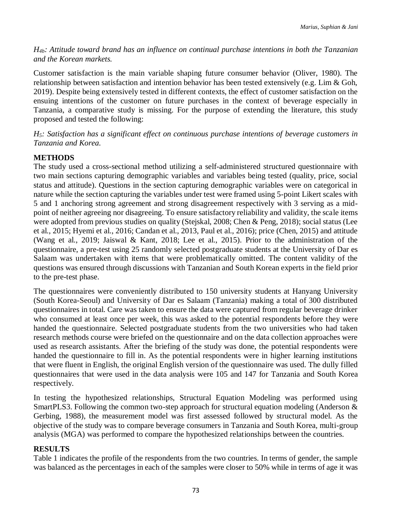*H4b: Attitude toward brand has an influence on continual purchase intentions in both the Tanzanian and the Korean markets.*

Customer satisfaction is the main variable shaping future consumer behavior (Oliver, 1980). The relationship between satisfaction and intention behavior has been tested extensively (e.g. Lim & Goh, 2019). Despite being extensively tested in different contexts, the effect of customer satisfaction on the ensuing intentions of the customer on future purchases in the context of beverage especially in Tanzania, a comparative study is missing. For the purpose of extending the literature, this study proposed and tested the following:

*H5: Satisfaction has a significant effect on continuous purchase intentions of beverage customers in Tanzania and Korea.*

# **METHODS**

The study used a cross-sectional method utilizing a self-administered structured questionnaire with two main sections capturing demographic variables and variables being tested (quality, price, social status and attitude). Questions in the section capturing demographic variables were on categorical in nature while the section capturing the variables under test were framed using 5-point Likert scales with 5 and 1 anchoring strong agreement and strong disagreement respectively with 3 serving as a midpoint of neither agreeing nor disagreeing. To ensure satisfactory reliability and validity, the scale items were adopted from previous studies on quality (Stejskal, 2008; Chen & Peng, 2018); social status (Lee et al., 2015; Hyemi et al., 2016; Candan et al., 2013, Paul et al., 2016); price (Chen, 2015) and attitude (Wang et al., 2019; Jaiswal & Kant, 2018; Lee et al., 2015). Prior to the administration of the questionnaire, a pre-test using 25 randomly selected postgraduate students at the University of Dar es Salaam was undertaken with items that were problematically omitted. The content validity of the questions was ensured through discussions with Tanzanian and South Korean experts in the field prior to the pre-test phase.

The questionnaires were conveniently distributed to 150 university students at Hanyang University (South Korea-Seoul) and University of Dar es Salaam (Tanzania) making a total of 300 distributed questionnaires in total. Care was taken to ensure the data were captured from regular beverage drinker who consumed at least once per week, this was asked to the potential respondents before they were handed the questionnaire. Selected postgraduate students from the two universities who had taken research methods course were briefed on the questionnaire and on the data collection approaches were used as research assistants. After the briefing of the study was done, the potential respondents were handed the questionnaire to fill in. As the potential respondents were in higher learning institutions that were fluent in English, the original English version of the questionnaire was used. The dully filled questionnaires that were used in the data analysis were 105 and 147 for Tanzania and South Korea respectively.

In testing the hypothesized relationships, Structural Equation Modeling was performed using SmartPLS3. Following the common two-step approach for structural equation modeling (Anderson & Gerbing, 1988), the measurement model was first assessed followed by structural model. As the objective of the study was to compare beverage consumers in Tanzania and South Korea, multi-group analysis (MGA) was performed to compare the hypothesized relationships between the countries.

## **RESULTS**

Table 1 indicates the profile of the respondents from the two countries. In terms of gender, the sample was balanced as the percentages in each of the samples were closer to 50% while in terms of age it was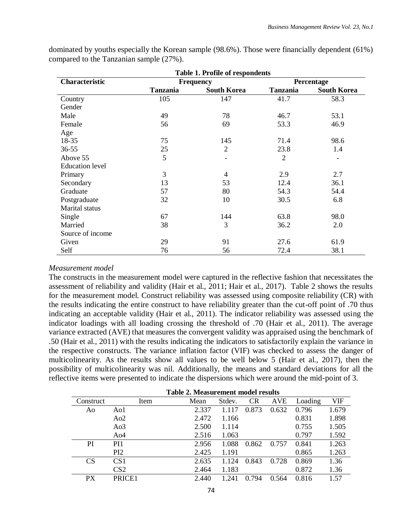| <b>Table 1. Profile of respondents</b> |                 |                          |                 |                    |  |  |  |
|----------------------------------------|-----------------|--------------------------|-----------------|--------------------|--|--|--|
| Characteristic                         |                 | <b>Frequency</b>         | Percentage      |                    |  |  |  |
|                                        | <b>Tanzania</b> | <b>South Korea</b>       | <b>Tanzania</b> | <b>South Korea</b> |  |  |  |
| Country                                | 105             | 147                      | 41.7            | 58.3               |  |  |  |
| Gender                                 |                 |                          |                 |                    |  |  |  |
| Male                                   | 49              | 78                       | 46.7            | 53.1               |  |  |  |
| Female                                 | 56              | 69                       | 53.3            | 46.9               |  |  |  |
| Age                                    |                 |                          |                 |                    |  |  |  |
| 18-35                                  | 75              | 145                      | 71.4            | 98.6               |  |  |  |
| $36 - 55$                              | 25              | $\overline{2}$           | 23.8            | 1.4                |  |  |  |
| Above 55                               | 5               | -                        | $\overline{2}$  | $\overline{a}$     |  |  |  |
| <b>Education</b> level                 |                 |                          |                 |                    |  |  |  |
| Primary                                | 3               | $\overline{\mathcal{A}}$ | 2.9             | 2.7                |  |  |  |
| Secondary                              | 13              | 53                       | 12.4            | 36.1               |  |  |  |
| Graduate                               | 57              | 80                       | 54.3            | 54.4               |  |  |  |
| Postgraduate                           | 32              | 10                       | 30.5            | 6.8                |  |  |  |
| Marital status                         |                 |                          |                 |                    |  |  |  |
| Single                                 | 67              | 144                      | 63.8            | 98.0               |  |  |  |
| Married                                | 38              | 3                        | 36.2            | 2.0                |  |  |  |
| Source of income                       |                 |                          |                 |                    |  |  |  |
| Given                                  | 29              | 91                       | 27.6            | 61.9               |  |  |  |
| Self                                   | 76              | 56                       | 72.4            | 38.1               |  |  |  |

dominated by youths especially the Korean sample (98.6%). Those were financially dependent (61%) compared to the Tanzanian sample (27%).

#### *Measurement model*

The constructs in the measurement model were captured in the reflective fashion that necessitates the assessment of reliability and validity (Hair et al., 2011; Hair et al., 2017). Table 2 shows the results for the measurement model. Construct reliability was assessed using composite reliability (CR) with the results indicating the entire construct to have reliability greater than the cut-off point of .70 thus indicating an acceptable validity (Hair et al., 2011). The indicator reliability was assessed using the indicator loadings with all loading crossing the threshold of .70 (Hair et al., 2011). The average variance extracted (AVE) that measures the convergent validity was appraised using the benchmark of .50 (Hair et al., 2011) with the results indicating the indicators to satisfactorily explain the variance in the respective constructs. The variance inflation factor (VIF) was checked to assess the danger of multicolinearity. As the results show all values to be well below 5 (Hair et al., 2017), then the possibility of multicolinearity was nil. Additionally, the means and standard deviations for all the reflective items were presented to indicate the dispersions which were around the mid-point of 3.

|           | Table 2. Measurement model results |       |        |           |            |         |            |
|-----------|------------------------------------|-------|--------|-----------|------------|---------|------------|
| Construct | Item                               | Mean  | Stdev. | <b>CR</b> | <b>AVE</b> | Loading | <b>VIF</b> |
| Ao        | Ao1                                | 2.337 | 1.117  | 0.873     | 0.632      | 0.796   | 1.679      |
|           | Ao2                                | 2.472 | 1.166  |           |            | 0.831   | 1.898      |
|           | A <sub>03</sub>                    | 2.500 | 1.114  |           |            | 0.755   | 1.505      |
|           | A <sub>o</sub> 4                   | 2.516 | 1.063  |           |            | 0.797   | 1.592      |
| PI        | PI <sub>1</sub>                    | 2.956 | 1.088  | 0.862     | 0.757      | 0.841   | 1.263      |
|           | P <sub>I2</sub>                    | 2.425 | 1.191  |           |            | 0.865   | 1.263      |
| CS        | CS <sub>1</sub>                    | 2.635 | 1.124  | 0.843     | 0.728      | 0.869   | 1.36       |
|           | CS <sub>2</sub>                    | 2.464 | 1.183  |           |            | 0.872   | 1.36       |
| <b>PX</b> | PRICE1                             | 2.440 | 1.241  | 0.794     | 0.564      | 0.816   | 1.57       |
|           |                                    |       |        |           |            |         |            |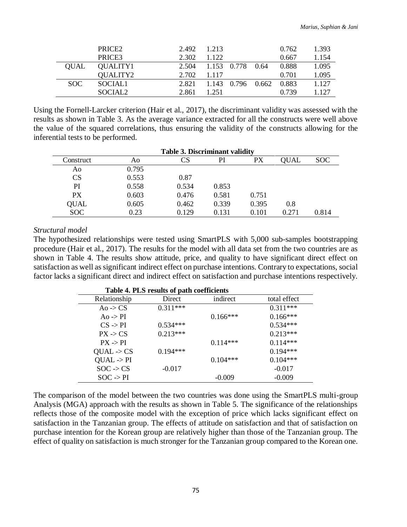|             | PRICE <sub>2</sub>  | 2.492 | 1.213       |                   |      | 0.762 | 1.393 |
|-------------|---------------------|-------|-------------|-------------------|------|-------|-------|
|             | PRICE3              | 2.302 | 1.122       |                   |      | 0.667 | 1.154 |
| <b>OUAL</b> | QUALITY1            | 2.504 | 1.153 0.778 |                   | 0.64 | 0.888 | 1.095 |
|             | QUALITY2            | 2.702 | 1 1 1 7     |                   |      | 0.701 | 1.095 |
| SOC.        | SOCIAL <sub>1</sub> | 2.821 |             | 1.143 0.796 0.662 |      | 0.883 | 1.127 |
|             | SOCIAL <sub>2</sub> | 2.861 | 1 251       |                   |      | 0.739 | 1.127 |

Using the Fornell-Larcker criterion (Hair et al., 2017), the discriminant validity was assessed with the results as shown in Table 3. As the average variance extracted for all the constructs were well above the value of the squared correlations, thus ensuring the validity of the constructs allowing for the inferential tests to be performed.

|             | <b>Table 3. Discriminant validity</b> |       |       |       |       |       |  |  |
|-------------|---------------------------------------|-------|-------|-------|-------|-------|--|--|
| Construct   | A0                                    | CS    | PI    | PХ    | OUAL  | SOC   |  |  |
| Ao          | 0.795                                 |       |       |       |       |       |  |  |
| CS          | 0.553                                 | 0.87  |       |       |       |       |  |  |
| PI          | 0.558                                 | 0.534 | 0.853 |       |       |       |  |  |
| <b>PX</b>   | 0.603                                 | 0.476 | 0.581 | 0.751 |       |       |  |  |
| <b>QUAL</b> | 0.605                                 | 0.462 | 0.339 | 0.395 | 0.8   |       |  |  |
| <b>SOC</b>  | 0.23                                  | 0.129 | 0.131 | 0.101 | 0.271 | 0.814 |  |  |

#### *Structural model*

The hypothesized relationships were tested using SmartPLS with 5,000 sub-samples bootstrapping procedure (Hair et al., 2017). The results for the model with all data set from the two countries are as shown in Table 4. The results show attitude, price, and quality to have significant direct effect on satisfaction as well as significant indirect effect on purchase intentions. Contrary to expectations, social factor lacks a significant direct and indirect effect on satisfaction and purchase intentions respectively.

| Table 4. PLS results of path coefficients |            |            |              |  |  |  |
|-------------------------------------------|------------|------------|--------------|--|--|--|
| Relationship                              | Direct     | indirect   | total effect |  |  |  |
| Ao -> $CS$                                | $0.311***$ |            | $0.311***$   |  |  |  |
| Ao -> PI                                  |            | $0.166***$ | $0.166***$   |  |  |  |
| $CS \rightarrow PI$                       | $0.534***$ |            | $0.534***$   |  |  |  |
| $PX \rightarrow CS$                       | $0.213***$ |            | $0.213***$   |  |  |  |
| $PX \rightarrow PI$                       |            | $0.114***$ | $0.114***$   |  |  |  |
| $QUAL \rightarrow CS$                     | $0.194***$ |            | $0.194***$   |  |  |  |
| $QUAL \rightarrow PI$                     |            | $0.104***$ | $0.104***$   |  |  |  |
| $SOC \rightarrow CS$                      | $-0.017$   |            | $-0.017$     |  |  |  |
| $SOC \rightarrow PI$                      |            | $-0.009$   | $-0.009$     |  |  |  |

The comparison of the model between the two countries was done using the SmartPLS multi-group Analysis (MGA) approach with the results as shown in Table 5. The significance of the relationships reflects those of the composite model with the exception of price which lacks significant effect on satisfaction in the Tanzanian group. The effects of attitude on satisfaction and that of satisfaction on purchase intention for the Korean group are relatively higher than those of the Tanzanian group. The effect of quality on satisfaction is much stronger for the Tanzanian group compared to the Korean one.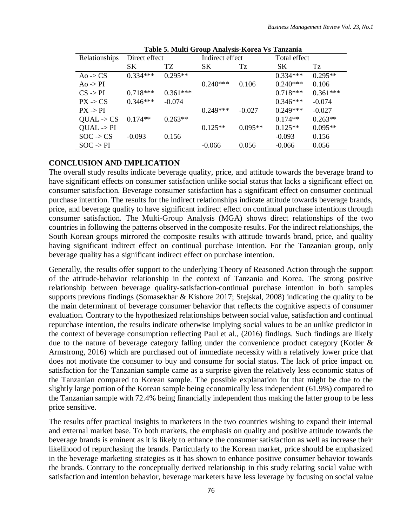|                       |               |            | $5 - 0$ when $2 - 0$ and $2 - 0$ and $2 - 0$ |           |              |            |
|-----------------------|---------------|------------|----------------------------------------------|-----------|--------------|------------|
| Relationships         | Direct effect |            | Indirect effect                              |           | Total effect |            |
|                       | SК            | TZ         | SK.                                          | Tz        | SK.          | Tz         |
| Ao -> $CS$            | $0.334***$    | $0.295**$  |                                              |           | $0.334***$   | $0.295**$  |
| $A_0 \rightarrow PI$  |               |            | $0.240***$                                   | 0.106     | $0.240***$   | 0.106      |
| $CS \rightarrow PI$   | $0.718***$    | $0.361***$ |                                              |           | $0.718***$   | $0.361***$ |
| $PX \rightarrow CS$   | $0.346***$    | $-0.074$   |                                              |           | $0.346***$   | $-0.074$   |
| $PX \rightarrow PI$   |               |            | $0.249***$                                   | $-0.027$  | $0.249***$   | $-0.027$   |
| $QUAL \rightarrow CS$ | $0.174**$     | $0.263**$  |                                              |           | $0.174**$    | $0.263**$  |
| $QUAL \rightarrow PI$ |               |            | $0.125**$                                    | $0.095**$ | $0.125**$    | $0.095**$  |
| $SOC \rightarrow CS$  | $-0.093$      | 0.156      |                                              |           | $-0.093$     | 0.156      |
| $SOC \rightarrow PI$  |               |            | $-0.066$                                     | 0.056     | $-0.066$     | 0.056      |

|  |  | Table 5. Multi Group Analysis-Korea Vs Tanzania |  |  |
|--|--|-------------------------------------------------|--|--|
|--|--|-------------------------------------------------|--|--|

## **CONCLUSION AND IMPLICATION**

The overall study results indicate beverage quality, price, and attitude towards the beverage brand to have significant effects on consumer satisfaction unlike social status that lacks a significant effect on consumer satisfaction. Beverage consumer satisfaction has a significant effect on consumer continual purchase intention. The results for the indirect relationships indicate attitude towards beverage brands, price, and beverage quality to have significant indirect effect on continual purchase intentions through consumer satisfaction. The Multi-Group Analysis (MGA) shows direct relationships of the two countries in following the patterns observed in the composite results. For the indirect relationships, the South Korean groups mirrored the composite results with attitude towards brand, price, and quality having significant indirect effect on continual purchase intention. For the Tanzanian group, only beverage quality has a significant indirect effect on purchase intention.

Generally, the results offer support to the underlying Theory of Reasoned Action through the support of the attitude-behavior relationship in the context of Tanzania and Korea. The strong positive relationship between beverage quality-satisfaction-continual purchase intention in both samples supports previous findings (Somasekhar & Kishore 2017; Stejskal, 2008) indicating the quality to be the main determinant of beverage consumer behavior that reflects the cognitive aspects of consumer evaluation. Contrary to the hypothesized relationships between social value, satisfaction and continual repurchase intention, the results indicate otherwise implying social values to be an unlike predictor in the context of beverage consumption reflecting Paul et al., (2016) findings. Such findings are likely due to the nature of beverage category falling under the convenience product category (Kotler & Armstrong, 2016) which are purchased out of immediate necessity with a relatively lower price that does not motivate the consumer to buy and consume for social status. The lack of price impact on satisfaction for the Tanzanian sample came as a surprise given the relatively less economic status of the Tanzanian compared to Korean sample. The possible explanation for that might be due to the slightly large portion of the Korean sample being economically less independent (61.9%) compared to the Tanzanian sample with 72.4% being financially independent thus making the latter group to be less price sensitive.

The results offer practical insights to marketers in the two countries wishing to expand their internal and external market base. To both markets, the emphasis on quality and positive attitude towards the beverage brands is eminent as it is likely to enhance the consumer satisfaction as well as increase their likelihood of repurchasing the brands. Particularly to the Korean market, price should be emphasized in the beverage marketing strategies as it has shown to enhance positive consumer behavior towards the brands. Contrary to the conceptually derived relationship in this study relating social value with satisfaction and intention behavior, beverage marketers have less leverage by focusing on social value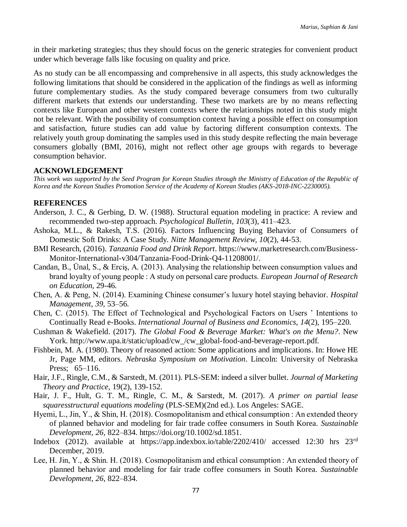in their marketing strategies; thus they should focus on the generic strategies for convenient product under which beverage falls like focusing on quality and price.

As no study can be all encompassing and comprehensive in all aspects, this study acknowledges the following limitations that should be considered in the application of the findings as well as informing future complementary studies. As the study compared beverage consumers from two culturally different markets that extends our understanding. These two markets are by no means reflecting contexts like European and other western contexts where the relationships noted in this study might not be relevant. With the possibility of consumption context having a possible effect on consumption and satisfaction, future studies can add value by factoring different consumption contexts. The relatively youth group dominating the samples used in this study despite reflecting the main beverage consumers globally (BMI, 2016), might not reflect other age groups with regards to beverage consumption behavior.

## **ACKNOWLEDGEMENT**

*This work was supported by the Seed Program for Korean Studies through the Ministry of Education of the Republic of Korea and the Korean Studies Promotion Service of the Academy of Korean Studies (AKS-2018-INC-2230005).*

### **REFERENCES**

- Anderson, J. C., & Gerbing, D. W. (1988). Structural equation modeling in practice: A review and recommended two-step approach. *Psychological Bulletin, 103*(3), 411–423.
- Ashoka, M.L., & Rakesh, T.S. (2016). Factors Influencing Buying Behavior of Consumers of Domestic Soft Drinks: A Case Study. *Nitte Management Review*, *10*(2), 44-53.
- BMI Research, (2016). *Tanzania Food and Drink Report*. https://www.marketresearch.com/Business-Monitor-International-v304/Tanzania-Food-Drink-Q4-11208001/.
- Candan, B., Ünal, S., & Erciş, A. (2013). Analysing the relationship between consumption values and brand loyalty of young people : A study on personal care products. *European Journal of Research on Education*, 29-46.
- Chen, A. & Peng, N. (2014). Examining Chinese consumer's luxury hotel staying behavior. *Hospital Management*, *39*, 53–56.
- Chen, C. (2015). The Effect of Technological and Psychological Factors on Users ' Intentions to Continually Read e-Books. *International Journal of Business and Economics*, *14*(2), 195–220.
- Cushman & Wakefield. (2017). *The Global Food & Beverage Market: What's on the Menu?*. New York. http://www.upa.it/static/upload/cw /cw\_global-food-and-beverage-report.pdf.
- Fishbein, M. A. (1980). Theory of reasoned action: Some applications and implications. In: Howe HE Jr, Page MM, editors. *Nebraska Symposium on Motivation*. Lincoln: University of Nebraska Press; 65–116.
- Hair, J.F., Ringle, C.M., & Sarstedt, M. (2011). PLS-SEM: indeed a silver bullet. *Journal of Marketing Theory and Practice,* 19(2), 139-152.
- Hair, J. F., Hult, G. T. M., Ringle, C. M., & Sarstedt, M. (2017). *A primer on partial lease squaresstructural equations modeling* (PLS-SEM)(2nd ed.). Los Angeles: SAGE.
- Hyemi, L., Jin, Y., & Shin, H. (2018). Cosmopolitanism and ethical consumption : An extended theory of planned behavior and modeling for fair trade coffee consumers in South Korea. *Sustainable Development*, *26*, 822–834. https://doi.org/10.1002/sd.1851.
- Indebox (2012). available at https://app.indexbox.io/table/2202/410/ accessed 12:30 hrs 23rd December, 2019.
- Lee, H. Jin, Y., & Shin. H. (2018). Cosmopolitanism and ethical consumption : An extended theory of planned behavior and modeling for fair trade coffee consumers in South Korea. *Sustainable Development*, *26*, 822–834.